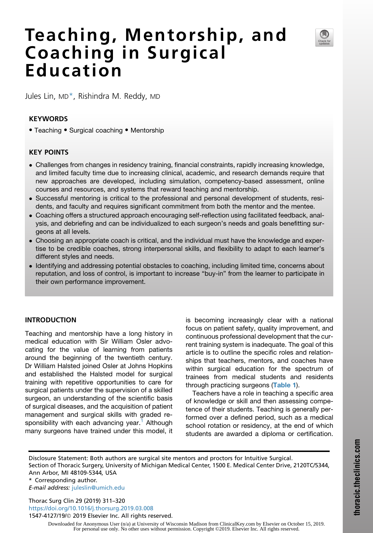# Teaching, Mentorship, and Coaching in Surgical Education



Jules Lin, MD\*, Rishindra M. Reddy, MD

## KEYWORDS

• Teaching • Surgical coaching • Mentorship

# KEY POINTS

- Challenges from changes in residency training, financial constraints, rapidly increasing knowledge, and limited faculty time due to increasing clinical, academic, and research demands require that new approaches are developed, including simulation, competency-based assessment, online courses and resources, and systems that reward teaching and mentorship.
- Successful mentoring is critical to the professional and personal development of students, residents, and faculty and requires significant commitment from both the mentor and the mentee.
- Coaching offers a structured approach encouraging self-reflection using facilitated feedback, analysis, and debriefing and can be individualized to each surgeon's needs and goals benefitting surgeons at all levels.
- Choosing an appropriate coach is critical, and the individual must have the knowledge and expertise to be credible coaches, strong interpersonal skills, and flexibility to adapt to each learner's different styles and needs.
- Identifying and addressing potential obstacles to coaching, including limited time, concerns about reputation, and loss of control, is important to increase "buy-in" from the learner to participate in their own performance improvement.

# INTRODUCTION

Teaching and mentorship have a long history in medical education with Sir William Osler advocating for the value of learning from patients around the beginning of the twentieth century. Dr William Halsted joined Osler at Johns Hopkins and established the Halsted model for surgical training with repetitive opportunities to care for surgical patients under the supervision of a skilled surgeon, an understanding of the scientific basis of surgical diseases, and the acquisition of patient management and surgical skills with graded re-sponsibility with each advancing year.<sup>[1](#page-7-0)</sup> Although many surgeons have trained under this model, it is becoming increasingly clear with a national focus on patient safety, quality improvement, and continuous professional development that the current training system is inadequate. The goal of this article is to outline the specific roles and relationships that teachers, mentors, and coaches have within surgical education for the spectrum of trainees from medical students and residents through practicing surgeons ([Table 1](#page-1-0)).

Teachers have a role in teaching a specific area of knowledge or skill and then assessing competence of their students. Teaching is generally performed over a defined period, such as a medical school rotation or residency, at the end of which students are awarded a diploma or certification.

Disclosure Statement: Both authors are surgical site mentors and proctors for Intuitive Surgical. Section of Thoracic Surgery, University of Michigan Medical Center, 1500 E. Medical Center Drive, 2120TC/5344, Ann Arbor, MI 48109-5344, USA

\* Corresponding author. E-mail address: [juleslin@umich.edu](mailto:juleslin@umich.edu)

Thorac Surg Clin 29 (2019) 311–320 <https://doi.org/10.1016/j.thorsurg.2019.03.008> 1547-4127/19/© 2019 Elsevier Inc. All rights reserved.

> Downloaded for Anonymous User (n/a) at University of Wisconsin Madison from ClinicalKey.com by Elsevier on October 15, 2019. For personal use only. No other uses without permission. Copyright ©2019. Elsevier Inc. All rights reserved.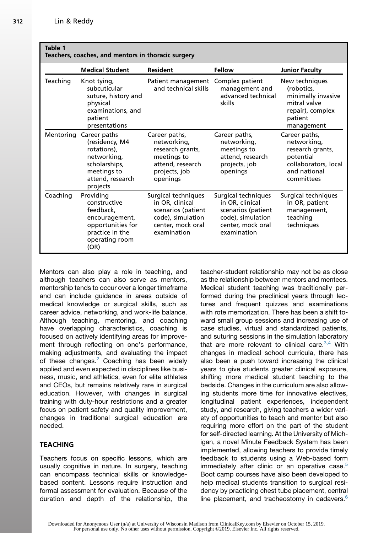<span id="page-1-0"></span>

| Table 1<br>Teachers, coaches, and mentors in thoracic surgery |                                                                                                                              |                                                                                                                       |                                                                                                                       |                                                                                                                     |  |
|---------------------------------------------------------------|------------------------------------------------------------------------------------------------------------------------------|-----------------------------------------------------------------------------------------------------------------------|-----------------------------------------------------------------------------------------------------------------------|---------------------------------------------------------------------------------------------------------------------|--|
|                                                               | <b>Medical Student</b>                                                                                                       | <b>Resident</b>                                                                                                       | Fellow                                                                                                                | <b>Junior Faculty</b>                                                                                               |  |
| Teaching                                                      | Knot tying,<br>subcuticular<br>suture, history and<br>physical<br>examinations, and<br>patient<br>presentations              | Patient management<br>and technical skills                                                                            | Complex patient<br>management and<br>advanced technical<br>skills                                                     | New techniques<br>(robotics,<br>minimally invasive<br>mitral valve<br>repair), complex<br>patient<br>management     |  |
| Mentoring                                                     | Career paths<br>(residency, M4<br>rotations).<br>networking,<br>scholarships,<br>meetings to<br>attend, research<br>projects | Career paths,<br>networking,<br>research grants,<br>meetings to<br>attend, research<br>projects, job<br>openings      | Career paths,<br>networking,<br>meetings to<br>attend, research<br>projects, job<br>openings                          | Career paths,<br>networking,<br>research grants,<br>potential<br>collaborators, local<br>and national<br>committees |  |
| Coaching                                                      | Providing<br>constructive<br>feedback.<br>encouragement,<br>opportunities for<br>practice in the<br>operating room<br>(OR)   | Surgical techniques<br>in OR, clinical<br>scenarios (patient<br>code), simulation<br>center, mock oral<br>examination | Surgical techniques<br>in OR, clinical<br>scenarios (patient<br>code), simulation<br>center, mock oral<br>examination | Surgical techniques<br>in OR, patient<br>management,<br>teaching<br>techniques                                      |  |

Mentors can also play a role in teaching, and although teachers can also serve as mentors, mentorship tends to occur over a longer timeframe and can include guidance in areas outside of medical knowledge or surgical skills, such as career advice, networking, and work-life balance. Although teaching, mentoring, and coaching have overlapping characteristics, coaching is focused on actively identifying areas for improvement through reflecting on one's performance, making adjustments, and evaluating the impact of these changes.<sup>[2](#page-7-0)</sup> Coaching has been widely applied and even expected in disciplines like business, music, and athletics, even for elite athletes and CEOs, but remains relatively rare in surgical education. However, with changes in surgical training with duty-hour restrictions and a greater focus on patient safety and quality improvement, changes in traditional surgical education are needed.

## TEACHING

Teachers focus on specific lessons, which are usually cognitive in nature. In surgery, teaching can encompass technical skills or knowledgebased content. Lessons require instruction and formal assessment for evaluation. Because of the duration and depth of the relationship, the teacher-student relationship may not be as close as the relationship between mentors and mentees. Medical student teaching was traditionally performed during the preclinical years through lectures and frequent quizzes and examinations with rote memorization. There has been a shift toward small group sessions and increasing use of case studies, virtual and standardized patients, and suturing sessions in the simulation laboratory that are more relevant to clinical care.  $3,4$  With changes in medical school curricula, there has also been a push toward increasing the clinical years to give students greater clinical exposure, shifting more medical student teaching to the bedside. Changes in the curriculum are also allowing students more time for innovative electives, longitudinal patient experiences, independent study, and research, giving teachers a wider variety of opportunities to teach and mentor but also requiring more effort on the part of the student for self-directed learning. At the University of Michigan, a novel Minute Feedback System has been implemented, allowing teachers to provide timely feedback to students using a Web-based form immediately after clinic or an operative case.<sup>[5](#page-7-0)</sup> Boot camp courses have also been developed to help medical students transition to surgical residency by practicing chest tube placement, central line placement, and tracheostomy in cadavers. $6$ 

Downloaded for Anonymous User (n/a) at University of Wisconsin Madison from ClinicalKey.com by Elsevier on October 15, 2019. For personal use only. No other uses without permission. Copyright ©2019. Elsevier Inc. All rights reserved.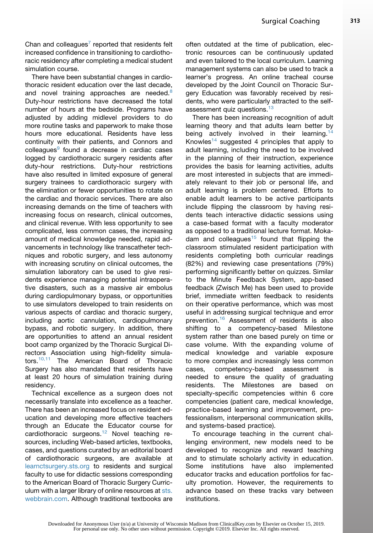Chan and colleagues<sup>[7](#page-7-0)</sup> reported that residents felt increased confidence in transitioning to cardiothoracic residency after completing a medical student simulation course.

There have been substantial changes in cardiothoracic resident education over the last decade, and novel training approaches are needed.<sup>[8](#page-7-0)</sup> Duty-hour restrictions have decreased the total number of hours at the bedside. Programs have adjusted by adding midlevel providers to do more routine tasks and paperwork to make those hours more educational. Residents have less continuity with their patients, and Connors and colleagues<sup>[9](#page-8-0)</sup> found a decrease in cardiac cases logged by cardiothoracic surgery residents after duty-hour restrictions. Duty-hour restrictions have also resulted in limited exposure of general surgery trainees to cardiothoracic surgery with the elimination or fewer opportunities to rotate on the cardiac and thoracic services. There are also increasing demands on the time of teachers with increasing focus on research, clinical outcomes, and clinical revenue. With less opportunity to see complicated, less common cases, the increasing amount of medical knowledge needed, rapid advancements in technology like transcatheter techniques and robotic surgery, and less autonomy with increasing scrutiny on clinical outcomes, the simulation laboratory can be used to give residents experience managing potential intraoperative disasters, such as a massive air embolus during cardiopulmonary bypass, or opportunities to use simulators developed to train residents on various aspects of cardiac and thoracic surgery, including aortic cannulation, cardiopulmonary bypass, and robotic surgery. In addition, there are opportunities to attend an annual resident boot camp organized by the Thoracic Surgical Directors Association using high-fidelity simula-tors.<sup>[10,11](#page-8-0)</sup> The American Board of Thoracic Surgery has also mandated that residents have at least 20 hours of simulation training during residency.

Technical excellence as a surgeon does not necessarily translate into excellence as a teacher. There has been an increased focus on resident education and developing more effective teachers through an Educate the Educator course for cardiothoracic surgeons.<sup>[12](#page-8-0)</sup> Novel teaching resources, including Web-based articles, textbooks, cases, and questions curated by an editorial board of cardiothoracic surgeons, are available at [learnctsurgery.sts.org](http://learnctsurgery.sts.org) to residents and surgical faculty to use for didactic sessions corresponding to the American Board of Thoracic Surgery Curriculum with a larger library of online resources at [sts.](http://sts.webbrain.com) [webbrain.com](http://sts.webbrain.com). Although traditional textbooks are often outdated at the time of publication, electronic resources can be continuously updated and even tailored to the local curriculum. Learning management systems can also be used to track a learner's progress. An online tracheal course developed by the Joint Council on Thoracic Surgery Education was favorably received by residents, who were particularly attracted to the self-assessment quiz questions.<sup>[13](#page-8-0)</sup>

There has been increasing recognition of adult learning theory and that adults learn better by being actively involved in their learning.<sup>[14](#page-8-0)</sup> Knowles<sup>[14](#page-8-0)</sup> suggested 4 principles that apply to adult learning, including the need to be involved in the planning of their instruction, experience provides the basis for learning activities, adults are most interested in subjects that are immediately relevant to their job or personal life, and adult learning is problem centered. Efforts to enable adult learners to be active participants include flipping the classroom by having residents teach interactive didactic sessions using a case-based format with a faculty moderator as opposed to a traditional lecture format. Moka-dam and colleagues<sup>[15](#page-8-0)</sup> found that flipping the classroom stimulated resident participation with residents completing both curricular readings (82%) and reviewing case presentations (79%) performing significantly better on quizzes. Similar to the Minute Feedback System, app-based feedback (Zwisch Me) has been used to provide brief, immediate written feedback to residents on their operative performance, which was most useful in addressing surgical technique and error prevention.[16](#page-8-0) Assessment of residents is also shifting to a competency-based Milestone system rather than one based purely on time or case volume. With the expanding volume of medical knowledge and variable exposure to more complex and increasingly less common cases, competency-based assessment is needed to ensure the quality of graduating residents. The Milestones are based on specialty-specific competencies within 6 core competencies (patient care, medical knowledge, practice-based learning and improvement, professionalism, interpersonal communication skills, and systems-based practice).

To encourage teaching in the current challenging environment, new models need to be developed to recognize and reward teaching and to stimulate scholarly activity in education. Some institutions have also implemented educator tracks and education portfolios for faculty promotion. However, the requirements to advance based on these tracks vary between institutions.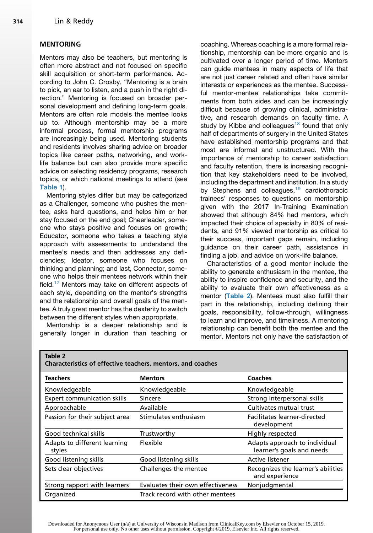#### <span id="page-3-0"></span>MENTORING

Mentors may also be teachers, but mentoring is often more abstract and not focused on specific skill acquisition or short-term performance. According to John C. Crosby, "Mentoring is a brain to pick, an ear to listen, and a push in the right direction." Mentoring is focused on broader personal development and defining long-term goals. Mentors are often role models the mentee looks up to. Although mentorship may be a more informal process, formal mentorship programs are increasingly being used. Mentoring students and residents involves sharing advice on broader topics like career paths, networking, and worklife balance but can also provide more specific advice on selecting residency programs, research topics, or which national meetings to attend (see [Table 1](#page-1-0)).

Mentoring styles differ but may be categorized as a Challenger, someone who pushes the mentee, asks hard questions, and helps him or her stay focused on the end goal; Cheerleader, someone who stays positive and focuses on growth; Educator, someone who takes a teaching style approach with assessments to understand the mentee's needs and then addresses any deficiencies; Ideator, someone who focuses on thinking and planning; and last, Connector, someone who helps their mentees network within their field.<sup>[17](#page-8-0)</sup> Mentors may take on different aspects of each style, depending on the mentor's strengths and the relationship and overall goals of the mentee. A truly great mentor has the dexterity to switch between the different styles when appropriate.

Mentorship is a deeper relationship and is generally longer in duration than teaching or

coaching. Whereas coaching is a more formal relationship, mentorship can be more organic and is cultivated over a longer period of time. Mentors can guide mentees in many aspects of life that are not just career related and often have similar interests or experiences as the mentee. Successful mentor-mentee relationships take commitments from both sides and can be increasingly difficult because of growing clinical, administrative, and research demands on faculty time. A study by Kibbe and colleagues<sup>[18](#page-8-0)</sup> found that only half of departments of surgery in the United States have established mentorship programs and that most are informal and unstructured. With the importance of mentorship to career satisfaction and faculty retention, there is increasing recognition that key stakeholders need to be involved, including the department and institution. In a study by Stephens and colleagues,<sup>[19](#page-8-0)</sup> cardiothoracic trainees' responses to questions on mentorship given with the 2017 In-Training Examination showed that although 84% had mentors, which impacted their choice of specialty in 80% of residents, and 91% viewed mentorship as critical to their success, important gaps remain, including guidance on their career path, assistance in finding a job, and advice on work-life balance.

Characteristics of a good mentor include the ability to generate enthusiasm in the mentee, the ability to inspire confidence and security, and the ability to evaluate their own effectiveness as a mentor (Table 2). Mentees must also fulfill their part in the relationship, including defining their goals, responsibility, follow-through, willingness to learn and improve, and timeliness. A mentoring relationship can benefit both the mentee and the mentor. Mentors not only have the satisfaction of

Table 2

| <b>Teachers</b>                        | <b>Mentors</b>                    | Coaches                                                    |  |  |
|----------------------------------------|-----------------------------------|------------------------------------------------------------|--|--|
| Knowledgeable                          | Knowledgeable                     | Knowledgeable                                              |  |  |
| Expert communication skills            | Sincere                           | Strong interpersonal skills                                |  |  |
| Approachable                           | Available                         | Cultivates mutual trust                                    |  |  |
| Passion for their subject area         | Stimulates enthusiasm             | Facilitates learner-directed<br>development                |  |  |
| Good technical skills                  | Trustworthy                       | Highly respected                                           |  |  |
| Adapts to different learning<br>styles | Flexible                          | Adapts approach to individual<br>learner's goals and needs |  |  |
| Good listening skills                  | Good listening skills             | Active listener                                            |  |  |
| Sets clear objectives                  | Challenges the mentee             | Recognizes the learner's abilities<br>and experience       |  |  |
| Strong rapport with learners           | Evaluates their own effectiveness | Nonjudgmental                                              |  |  |
| Organized                              | Track record with other mentees   |                                                            |  |  |

Characteristics of effective teachers, mentors, and coaches

Downloaded for Anonymous User (n/a) at University of Wisconsin Madison from ClinicalKey.com by Elsevier on October 15, 2019. For personal use only. No other uses without permission. Copyright ©2019. Elsevier Inc. All rights reserved.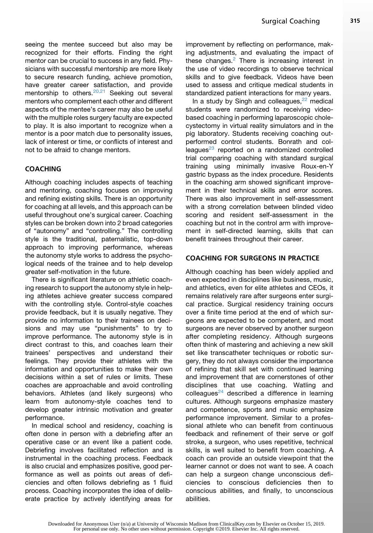seeing the mentee succeed but also may be recognized for their efforts. Finding the right mentor can be crucial to success in any field. Physicians with successful mentorship are more likely to secure research funding, achieve promotion, have greater career satisfaction, and provide mentorship to others.<sup>[20,21](#page-8-0)</sup> Seeking out several mentors who complement each other and different aspects of the mentee's career may also be useful with the multiple roles surgery faculty are expected to play. It is also important to recognize when a mentor is a poor match due to personality issues, lack of interest or time, or conflicts of interest and not to be afraid to change mentors.

#### COACHING

Although coaching includes aspects of teaching and mentoring, coaching focuses on improving and refining existing skills. There is an opportunity for coaching at all levels, and this approach can be useful throughout one's surgical career. Coaching styles can be broken down into 2 broad categories of "autonomy" and "controlling." The controlling style is the traditional, paternalistic, top-down approach to improving performance, whereas the autonomy style works to address the psychological needs of the trainee and to help develop greater self-motivation in the future.

There is significant literature on athletic coaching research to support the autonomy style in helping athletes achieve greater success compared with the controlling style. Control-style coaches provide feedback, but it is usually negative. They provide no information to their trainees on decisions and may use "punishments" to try to improve performance. The autonomy style is in direct contrast to this, and coaches learn their trainees' perspectives and understand their feelings. They provide their athletes with the information and opportunities to make their own decisions within a set of rules or limits. These coaches are approachable and avoid controlling behaviors. Athletes (and likely surgeons) who learn from autonomy-style coaches tend to develop greater intrinsic motivation and greater performance.

In medical school and residency, coaching is often done in person with a debriefing after an operative case or an event like a patient code. Debriefing involves facilitated reflection and is instrumental in the coaching process. Feedback is also crucial and emphasizes positive, good performance as well as points out areas of deficiencies and often follows debriefing as 1 fluid process. Coaching incorporates the idea of deliberate practice by actively identifying areas for improvement by reflecting on performance, making adjustments, and evaluating the impact of these changes. $2$  There is increasing interest in the use of video recordings to observe technical skills and to give feedback. Videos have been used to assess and critique medical students in standardized patient interactions for many years.

In a study by Singh and colleagues, $22$  medical students were randomized to receiving videobased coaching in performing laparoscopic cholecystectomy in virtual reality simulators and in the pig laboratory. Students receiving coaching outperformed control students. Bonrath and colleagues $^{23}$  $^{23}$  $^{23}$  reported on a randomized controlled trial comparing coaching with standard surgical training using minimally invasive Roux-en-Y gastric bypass as the index procedure. Residents in the coaching arm showed significant improvement in their technical skills and error scores. There was also improvement in self-assessment with a strong correlation between blinded video scoring and resident self-assessment in the coaching but not in the control arm with improvement in self-directed learning, skills that can benefit trainees throughout their career.

#### COACHING FOR SURGEONS IN PRACTICE

Although coaching has been widely applied and even expected in disciplines like business, music, and athletics, even for elite athletes and CEOs, it remains relatively rare after surgeons enter surgical practice. Surgical residency training occurs over a finite time period at the end of which surgeons are expected to be competent, and most surgeons are never observed by another surgeon after completing residency. Although surgeons often think of mastering and achieving a new skill set like transcatheter techniques or robotic surgery, they do not always consider the importance of refining that skill set with continued learning and improvement that are cornerstones of other disciplines that use coaching. Watling and colleagues $24$  described a difference in learning cultures. Although surgeons emphasize mastery and competence, sports and music emphasize performance improvement. Similar to a professional athlete who can benefit from continuous feedback and refinement of their serve or golf stroke, a surgeon, who uses repetitive, technical skills, is well suited to benefit from coaching. A coach can provide an outside viewpoint that the learner cannot or does not want to see. A coach can help a surgeon change unconscious deficiencies to conscious deficiencies then to conscious abilities, and finally, to unconscious abilities.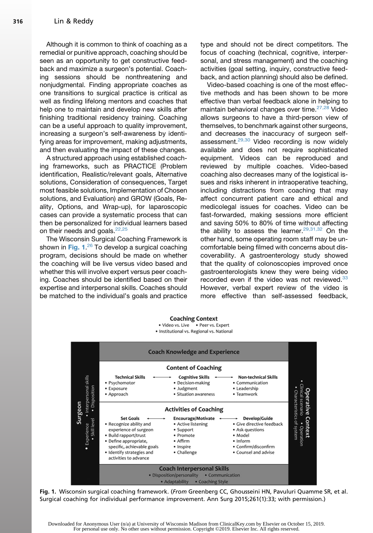Although it is common to think of coaching as a remedial or punitive approach, coaching should be seen as an opportunity to get constructive feedback and maximize a surgeon's potential. Coaching sessions should be nonthreatening and nonjudgmental. Finding appropriate coaches as one transitions to surgical practice is critical as well as finding lifelong mentors and coaches that help one to maintain and develop new skills after finishing traditional residency training. Coaching can be a useful approach to quality improvement, increasing a surgeon's self-awareness by identifying areas for improvement, making adjustments, and then evaluating the impact of these changes.

A structured approach using established coaching frameworks, such as PRACTICE (Problem identification, Realistic/relevant goals, Alternative solutions, Consideration of consequences, Target most feasible solutions, Implementation of Chosen solutions, and Evaluation) and GROW (Goals, Reality, Options, and Wrap-up), for laparoscopic cases can provide a systematic process that can then be personalized for individual learners based on their needs and goals. $22,25$ 

The Wisconsin Surgical Coaching Framework is shown in Fig. 1.<sup>[26](#page-8-0)</sup> To develop a surgical coaching<br>program, decisions, should, be made on whether program, decisions should be made on whether the coaching will be live versus video based and whether this will involve expert versus peer coaching. Coaches should be identified based on their expertise and interpersonal skills. Coaches should be matched to the individual's goals and practice type and should not be direct competitors. The focus of coaching (technical, cognitive, interpersonal, and stress management) and the coaching activities (goal setting, inquiry, constructive feedback, and action planning) should also be defined.

Video-based coaching is one of the most effective methods and has been shown to be more effective than verbal feedback alone in helping to maintain behavioral changes over time.<sup>[27,28](#page-8-0)</sup> Video allows surgeons to have a third-person view of themselves, to benchmark against other surgeons, and decreases the inaccuracy of surgeon selfassessment. $29,30$  Video recording is now widely available and does not require sophisticated equipment. Videos can be reproduced and reviewed by multiple coaches. Video-based coaching also decreases many of the logistical issues and risks inherent in intraoperative teaching, including distractions from coaching that may affect concurrent patient care and ethical and medicolegal issues for coaches. Video can be fast-forwarded, making sessions more efficient and saving 50% to 80% of time without affecting the ability to assess the learner. $29,31,32$  On the other hand, some operating room staff may be uncomfortable being filmed with concerns about discoverability. A gastroenterology study showed that the quality of colonoscopies improved once gastroenterologists knew they were being video recorded even if the video was not reviewed.<sup>[33](#page-8-0)</sup> However, verbal expert review of the video is more effective than self-assessed feedback,



Fig. 1. Wisconsin surgical coaching framework. (From Greenberg CC, Ghousseini HN, Pavuluri Quamme SR, et al. Surgical coaching for individual performance improvement. Ann Surg 2015;261(1):33; with permission.)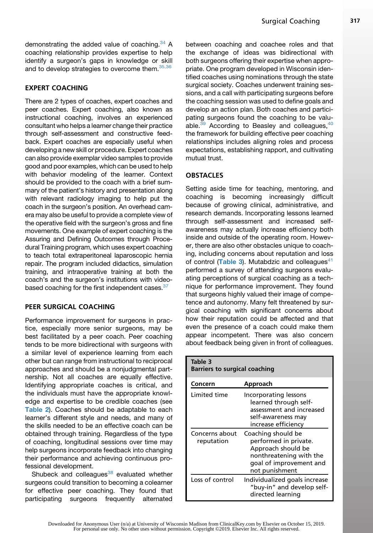demonstrating the added value of coaching.<sup>[34](#page-8-0)</sup> A coaching relationship provides expertise to help identify a surgeon's gaps in knowledge or skill and to develop strategies to overcome them. [35,36](#page-8-0)

## EXPERT COACHING

There are 2 types of coaches, expert coaches and peer coaches. Expert coaching, also known as instructional coaching, involves an experienced consultant who helps a learner change their practice through self-assessment and constructive feedback. Expert coaches are especially useful when developing a new skill or procedure. Expert coaches can also provide exemplar video samples to provide good and poor examples, which can be used to help with behavior modeling of the learner. Context should be provided to the coach with a brief summary of the patient's history and presentation along with relevant radiology imaging to help put the coach in the surgeon's position. An overhead camera may also be useful to provide a complete view of the operative field with the surgeon's gross and fine movements. One example of expert coaching is the Assuring and Defining Outcomes through Procedural Training program, which uses expert coaching to teach total extraperitoneal laparoscopic hernia repair. The program included didactics, simulation training, and intraoperative training at both the coach's and the surgeon's institutions with videobased coaching for the first independent cases. 37

## PEER SURGICAL COACHING

Performance improvement for surgeons in practice, especially more senior surgeons, may be best facilitated by a peer coach. Peer coaching tends to be more bidirectional with surgeons with a similar level of experience learning from each other but can range from instructional to reciprocal approaches and should be a nonjudgmental partnership. Not all coaches are equally effective. Identifying appropriate coaches is critical, and the individuals must have the appropriate knowledge and expertise to be credible coaches (see [Table 2](#page-3-0)). Coaches should be adaptable to each learner's different style and needs, and many of the skills needed to be an effective coach can be obtained through training. Regardless of the type of coaching, longitudinal sessions over time may help surgeons incorporate feedback into changing their performance and achieving continuous professional development.

Shubeck and colleagues $38$  evaluated whether surgeons could transition to becoming a colearner for effective peer coaching. They found that participating surgeons frequently alternated

between coaching and coachee roles and that the exchange of ideas was bidirectional with both surgeons offering their expertise when appropriate. One program developed in Wisconsin identified coaches using nominations through the state surgical society. Coaches underwent training sessions, and a call with participating surgeons before the coaching session was used to define goals and develop an action plan. Both coaches and participating surgeons found the coaching to be valuable. $39$  According to Beasley and colleagues,  $40$ the framework for building effective peer coaching relationships includes aligning roles and process expectations, establishing rapport, and cultivating mutual trust.

## **OBSTACLES**

Setting aside time for teaching, mentoring, and coaching is becoming increasingly difficult because of growing clinical, administrative, and research demands. Incorporating lessons learned through self-assessment and increased selfawareness may actually increase efficiency both inside and outside of the operating room. However, there are also other obstacles unique to coaching, including concerns about reputation and loss of control (Table 3). Mutabdzic and colleagues $41$ performed a survey of attending surgeons evaluating perceptions of surgical coaching as a technique for performance improvement. They found that surgeons highly valued their image of competence and autonomy. Many felt threatened by surgical coaching with significant concerns about how their reputation could be affected and that even the presence of a coach could make them appear incompetent. There was also concern about feedback being given in front of colleagues.

| Table 3<br><b>Barriers to surgical coaching</b> |                                                                                                                                           |  |  |  |
|-------------------------------------------------|-------------------------------------------------------------------------------------------------------------------------------------------|--|--|--|
| Concern                                         | Approach                                                                                                                                  |  |  |  |
| Limited time                                    | Incorporating lessons<br>learned through self-<br>assessment and increased<br>self-awareness mav<br>increase efficiency                   |  |  |  |
| Concerns about<br>reputation                    | Coaching should be<br>performed in private.<br>Approach should be<br>nonthreatening with the<br>goal of improvement and<br>not punishment |  |  |  |
| Loss of control                                 | Individualized goals increase<br>"buy-in" and develop self-<br>directed learning                                                          |  |  |  |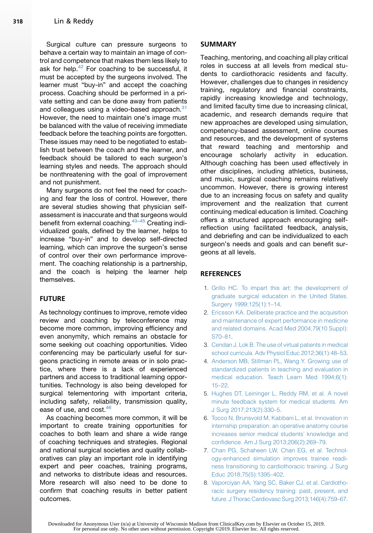<span id="page-7-0"></span>Surgical culture can pressure surgeons to behave a certain way to maintain an image of control and competence that makes them less likely to ask for help. $42$  For coaching to be successful, it must be accepted by the surgeons involved. The learner must "buy-in" and accept the coaching process. Coaching should be performed in a private setting and can be done away from patients and colleagues using a video-based approach.<sup>31</sup> However, the need to maintain one's image must be balanced with the value of receiving immediate feedback before the teaching points are forgotten. These issues may need to be negotiated to establish trust between the coach and the learner, and feedback should be tailored to each surgeon's learning styles and needs. The approach should be nonthreatening with the goal of improvement and not punishment.

Many surgeons do not feel the need for coaching and fear the loss of control. However, there are several studies showing that physician selfassessment is inaccurate and that surgeons would benefit from external coaching.<sup>43-45</sup> Creating individualized goals, defined by the learner, helps to increase "buy-in" and to develop self-directed learning, which can improve the surgeon's sense of control over their own performance improvement. The coaching relationship is a partnership, and the coach is helping the learner help themselves.

## FUTURE

As technology continues to improve, remote video review and coaching by teleconference may become more common, improving efficiency and even anonymity, which remains an obstacle for some seeking out coaching opportunities. Video conferencing may be particularly useful for surgeons practicing in remote areas or in solo practice, where there is a lack of experienced partners and access to traditional learning opportunities. Technology is also being developed for surgical telementoring with important criteria, including safety, reliability, transmission quality, ease of use, and cost.<sup>[46](#page-9-0)</sup>

As coaching becomes more common, it will be important to create training opportunities for coaches to both learn and share a wide range of coaching techniques and strategies. Regional and national surgical societies and quality collaboratives can play an important role in identifying expert and peer coaches, training programs, and networks to distribute ideas and resources. More research will also need to be done to confirm that coaching results in better patient outcomes.

#### SUMMARY

Teaching, mentoring, and coaching all play critical roles in success at all levels from medical students to cardiothoracic residents and faculty. However, challenges due to changes in residency training, regulatory and financial constraints, rapidly increasing knowledge and technology, and limited faculty time due to increasing clinical, academic, and research demands require that new approaches are developed using simulation, competency-based assessment, online courses and resources, and the development of systems that reward teaching and mentorship and encourage scholarly activity in education. Although coaching has been used effectively in other disciplines, including athletics, business, and music, surgical coaching remains relatively uncommon. However, there is growing interest due to an increasing focus on safety and quality improvement and the realization that current continuing medical education is limited. Coaching offers a structured approach encouraging selfreflection using facilitated feedback, analysis, and debriefing and can be individualized to each surgeon's needs and goals and can benefit surgeons at all levels.

## **REFERENCES**

- 1. [Grillo HC. To impart this art: the development of](http://refhub.elsevier.com/S1547-4127(19)30019-2/sref1) [graduate surgical education in the United States.](http://refhub.elsevier.com/S1547-4127(19)30019-2/sref1) [Surgery 1999;125\(1\):1–14](http://refhub.elsevier.com/S1547-4127(19)30019-2/sref1).
- 2. [Ericsson KA. Deliberate practice and the acquisition](http://refhub.elsevier.com/S1547-4127(19)30019-2/sref2) [and maintenance of expert performance in medicine](http://refhub.elsevier.com/S1547-4127(19)30019-2/sref2) [and related domains. Acad Med 2004;79\(10 Suppl\):](http://refhub.elsevier.com/S1547-4127(19)30019-2/sref2) [S70–81](http://refhub.elsevier.com/S1547-4127(19)30019-2/sref2).
- 3. [Cendan J, Lok B. The use of virtual patients in medical](http://refhub.elsevier.com/S1547-4127(19)30019-2/sref3) [school curricula. Adv Physiol Educ 2012;36\(1\):48–53.](http://refhub.elsevier.com/S1547-4127(19)30019-2/sref3)
- 4. [Anderson MB, Stillman PL, Wang Y. Growing use of](http://refhub.elsevier.com/S1547-4127(19)30019-2/sref4) [standardized patients in teaching and evaluation in](http://refhub.elsevier.com/S1547-4127(19)30019-2/sref4) [medical education. Teach Learn Med 1994;6\(1\):](http://refhub.elsevier.com/S1547-4127(19)30019-2/sref4) [15–22](http://refhub.elsevier.com/S1547-4127(19)30019-2/sref4).
- 5. [Hughes DT, Leininger L, Reddy RM, et al. A novel](http://refhub.elsevier.com/S1547-4127(19)30019-2/sref5) [minute feedback system for medical students. Am](http://refhub.elsevier.com/S1547-4127(19)30019-2/sref5) [J Surg 2017;213\(2\):330–5](http://refhub.elsevier.com/S1547-4127(19)30019-2/sref5).
- 6. [Tocco N, Brunsvold M, Kabbani L, et al. Innovation in](http://refhub.elsevier.com/S1547-4127(19)30019-2/sref6) [internship preparation: an operative anatomy course](http://refhub.elsevier.com/S1547-4127(19)30019-2/sref6) [increases senior medical students' knowledge and](http://refhub.elsevier.com/S1547-4127(19)30019-2/sref6) [confidence. Am J Surg 2013;206\(2\):269–79.](http://refhub.elsevier.com/S1547-4127(19)30019-2/sref6)
- 7. [Chan PG, Schaheen LW, Chan EG, et al. Technol](http://refhub.elsevier.com/S1547-4127(19)30019-2/sref7)[ogy-enhanced simulation improves trainee readi](http://refhub.elsevier.com/S1547-4127(19)30019-2/sref7)[ness transitioning to cardiothoracic training. J Surg](http://refhub.elsevier.com/S1547-4127(19)30019-2/sref7) [Educ 2018;75\(5\):1395–402](http://refhub.elsevier.com/S1547-4127(19)30019-2/sref7).
- 8. [Vaporciyan AA, Yang SC, Baker CJ, et al. Cardiotho](http://refhub.elsevier.com/S1547-4127(19)30019-2/sref8)[racic surgery residency training: past, present, and](http://refhub.elsevier.com/S1547-4127(19)30019-2/sref8) [future. J Thorac Cardiovasc Surg 2013;146\(4\):759–67.](http://refhub.elsevier.com/S1547-4127(19)30019-2/sref8)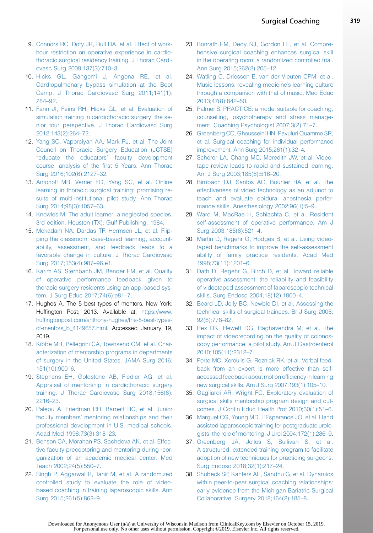- <span id="page-8-0"></span>9. [Connors RC, Doty JR, Bull DA, et al. Effect of work](http://refhub.elsevier.com/S1547-4127(19)30019-2/sref9)[hour restriction on operative experience in cardio](http://refhub.elsevier.com/S1547-4127(19)30019-2/sref9)[thoracic surgical residency training. J Thorac Cardi](http://refhub.elsevier.com/S1547-4127(19)30019-2/sref9)[ovasc Surg 2009;137\(3\):710–3](http://refhub.elsevier.com/S1547-4127(19)30019-2/sref9).
- 10. [Hicks GL, Gangemi J, Angona RE, et al.](http://refhub.elsevier.com/S1547-4127(19)30019-2/sref10) [Cardiopulmonary bypass simulation at the Boot](http://refhub.elsevier.com/S1547-4127(19)30019-2/sref10) [Camp. J Thorac Cardiovasc Surg 2011;141\(1\):](http://refhub.elsevier.com/S1547-4127(19)30019-2/sref10) [284–92](http://refhub.elsevier.com/S1547-4127(19)30019-2/sref10).
- 11. [Fann JI, Feins RH, Hicks GL, et al. Evaluation of](http://refhub.elsevier.com/S1547-4127(19)30019-2/sref11) [simulation training in cardiothoracic surgery: the se](http://refhub.elsevier.com/S1547-4127(19)30019-2/sref11)[nior tour perspective. J Thorac Cardiovasc Surg](http://refhub.elsevier.com/S1547-4127(19)30019-2/sref11) [2012;143\(2\):264–72.](http://refhub.elsevier.com/S1547-4127(19)30019-2/sref11)
- 12. [Yang SC, Vaporciyan AA, Mark RJ, et al. The Joint](http://refhub.elsevier.com/S1547-4127(19)30019-2/sref12) [Council on Thoracic Surgery Education \(JCTSE\)](http://refhub.elsevier.com/S1547-4127(19)30019-2/sref12) ["educate the educators" faculty development](http://refhub.elsevier.com/S1547-4127(19)30019-2/sref12) [course: analysis of the first 5 Years. Ann Thorac](http://refhub.elsevier.com/S1547-4127(19)30019-2/sref12) [Surg 2016;102\(6\):2127–32](http://refhub.elsevier.com/S1547-4127(19)30019-2/sref12).
- 13. [Antonoff MB, Verrier ED, Yang SC, et al. Online](http://refhub.elsevier.com/S1547-4127(19)30019-2/sref13) [learning in thoracic surgical training: promising re](http://refhub.elsevier.com/S1547-4127(19)30019-2/sref13)[sults of multi-institutional pilot study. Ann Thorac](http://refhub.elsevier.com/S1547-4127(19)30019-2/sref13) [Surg 2014;98\(3\):1057–63](http://refhub.elsevier.com/S1547-4127(19)30019-2/sref13).
- 14. [Knowles M. The adult learner: a neglected species.](http://refhub.elsevier.com/S1547-4127(19)30019-2/sref14) [3rd edition. Houston \(TX\): Gulf Publishing; 1984](http://refhub.elsevier.com/S1547-4127(19)30019-2/sref14).
- 15. [Mokadam NA, Dardas TF, Hermsen JL, et al. Flip](http://refhub.elsevier.com/S1547-4127(19)30019-2/sref15)[ping the classroom: case-based learning, account](http://refhub.elsevier.com/S1547-4127(19)30019-2/sref15)[ability, assessment, and feedback leads to a](http://refhub.elsevier.com/S1547-4127(19)30019-2/sref15) [favorable change in culture. J Thorac Cardiovasc](http://refhub.elsevier.com/S1547-4127(19)30019-2/sref15) [Surg 2017;153\(4\):987–96.e1](http://refhub.elsevier.com/S1547-4127(19)30019-2/sref15).
- 16. [Karim AS, Sternbach JM, Bender EM, et al. Quality](http://refhub.elsevier.com/S1547-4127(19)30019-2/sref16) [of operative performance feedback given to](http://refhub.elsevier.com/S1547-4127(19)30019-2/sref16) [thoracic surgery residents using an app-based sys](http://refhub.elsevier.com/S1547-4127(19)30019-2/sref16)[tem. J Surg Educ 2017;74\(6\):e81–7](http://refhub.elsevier.com/S1547-4127(19)30019-2/sref16).
- 17. Hughes A. The 5 best types of mentors. New York: Huffington Post; 2013. Available at: [https://www.](https://www.huffingtonpost.com/anthony-hughes/the-5-best-types-of-mentors_b_4149657.html) [huffingtonpost.com/anthony-hughes/the-5-best-types](https://www.huffingtonpost.com/anthony-hughes/the-5-best-types-of-mentors_b_4149657.html)[of-mentors\\_b\\_4149657.html.](https://www.huffingtonpost.com/anthony-hughes/the-5-best-types-of-mentors_b_4149657.html) Accessed January 19, 2019.
- 18. [Kibbe MR, Pellegrini CA, Townsend CM, et al. Char](http://refhub.elsevier.com/S1547-4127(19)30019-2/sref18)[acterization of mentorship programs in departments](http://refhub.elsevier.com/S1547-4127(19)30019-2/sref18) [of surgery in the United States. JAMA Surg 2016;](http://refhub.elsevier.com/S1547-4127(19)30019-2/sref18) [151\(10\):900–6.](http://refhub.elsevier.com/S1547-4127(19)30019-2/sref18)
- 19. [Stephens EH, Goldstone AB, Fiedler AG, et al.](http://refhub.elsevier.com/S1547-4127(19)30019-2/sref19) [Appraisal of mentorship in cardiothoracic surgery](http://refhub.elsevier.com/S1547-4127(19)30019-2/sref19) [training. J Thorac Cardiovasc Surg 2018;156\(6\):](http://refhub.elsevier.com/S1547-4127(19)30019-2/sref19) [2216–23](http://refhub.elsevier.com/S1547-4127(19)30019-2/sref19).
- 20. [Palepu A, Friedman RH, Barnett RC, et al. Junior](http://refhub.elsevier.com/S1547-4127(19)30019-2/sref20) [faculty members' mentoring relationships and their](http://refhub.elsevier.com/S1547-4127(19)30019-2/sref20) [professional development in U.S. medical schools.](http://refhub.elsevier.com/S1547-4127(19)30019-2/sref20) [Acad Med 1998;73\(3\):318–23](http://refhub.elsevier.com/S1547-4127(19)30019-2/sref20).
- 21. [Benson CA, Morahan PS, Sachdeva AK, et al. Effec](http://refhub.elsevier.com/S1547-4127(19)30019-2/sref21)[tive faculty preceptoring and mentoring during reor](http://refhub.elsevier.com/S1547-4127(19)30019-2/sref21)[ganization of an academic medical center. Med](http://refhub.elsevier.com/S1547-4127(19)30019-2/sref21) [Teach 2002;24\(5\):550–7.](http://refhub.elsevier.com/S1547-4127(19)30019-2/sref21)
- 22. [Singh P, Aggarwal R, Tahir M, et al. A randomized](http://refhub.elsevier.com/S1547-4127(19)30019-2/sref22) [controlled study to evaluate the role of video](http://refhub.elsevier.com/S1547-4127(19)30019-2/sref22)[based coaching in training laparoscopic skills. Ann](http://refhub.elsevier.com/S1547-4127(19)30019-2/sref22) [Surg 2015;261\(5\):862–9.](http://refhub.elsevier.com/S1547-4127(19)30019-2/sref22)
- 23. [Bonrath EM, Dedy NJ, Gordon LE, et al. Compre](http://refhub.elsevier.com/S1547-4127(19)30019-2/sref23)[hensive surgical coaching enhances surgical skill](http://refhub.elsevier.com/S1547-4127(19)30019-2/sref23) [in the operating room: a randomized controlled trial.](http://refhub.elsevier.com/S1547-4127(19)30019-2/sref23) [Ann Surg 2015;262\(2\):205–12](http://refhub.elsevier.com/S1547-4127(19)30019-2/sref23).
- 24. [Watling C, Driessen E, van der Vleuten CPM, et al.](http://refhub.elsevier.com/S1547-4127(19)30019-2/sref24) [Music lessons: revealing medicine's learning culture](http://refhub.elsevier.com/S1547-4127(19)30019-2/sref24) [through a comparison with that of music. Med Educ](http://refhub.elsevier.com/S1547-4127(19)30019-2/sref24) [2013;47\(8\):842–50](http://refhub.elsevier.com/S1547-4127(19)30019-2/sref24).
- 25. [Palmer S. PRACTICE: a model suitable for coaching,](http://refhub.elsevier.com/S1547-4127(19)30019-2/sref25) [counselling, psychotherapy and stress manage](http://refhub.elsevier.com/S1547-4127(19)30019-2/sref25)[ment. Coaching Psychologist 2007;3\(2\):71–7](http://refhub.elsevier.com/S1547-4127(19)30019-2/sref25).
- 26. [Greenberg CC, Ghousseini HN, Pavuluri Quamme SR,](http://refhub.elsevier.com/S1547-4127(19)30019-2/sref26) [et al. Surgical coaching for individual performance](http://refhub.elsevier.com/S1547-4127(19)30019-2/sref26) [improvement. Ann Surg 2015;261\(1\):32–4.](http://refhub.elsevier.com/S1547-4127(19)30019-2/sref26)
- 27. [Scherer LA, Chang MC, Meredith JW, et al. Video](http://refhub.elsevier.com/S1547-4127(19)30019-2/sref27)[tape review leads to rapid and sustained learning.](http://refhub.elsevier.com/S1547-4127(19)30019-2/sref27) [Am J Surg 2003;185\(6\):516–20](http://refhub.elsevier.com/S1547-4127(19)30019-2/sref27).
- 28. [Birnbach DJ, Santos AC, Bourlier RA, et al. The](http://refhub.elsevier.com/S1547-4127(19)30019-2/sref28) [effectiveness of video technology as an adjunct to](http://refhub.elsevier.com/S1547-4127(19)30019-2/sref28) [teach and evaluate epidural anesthesia perfor](http://refhub.elsevier.com/S1547-4127(19)30019-2/sref28)[mance skills. Anesthesiology 2002;96\(1\):5–9.](http://refhub.elsevier.com/S1547-4127(19)30019-2/sref28)
- 29. [Ward M, MacRae H, Schlachta C, et al. Resident](http://refhub.elsevier.com/S1547-4127(19)30019-2/sref29) [self-assessment of operative performance. Am J](http://refhub.elsevier.com/S1547-4127(19)30019-2/sref29) [Surg 2003;185\(6\):521–4.](http://refhub.elsevier.com/S1547-4127(19)30019-2/sref29)
- 30. [Martin D, Regehr G, Hodges B, et al. Using video](http://refhub.elsevier.com/S1547-4127(19)30019-2/sref30)[taped benchmarks to improve the self-assessment](http://refhub.elsevier.com/S1547-4127(19)30019-2/sref30) [ability of family practice residents. Acad Med](http://refhub.elsevier.com/S1547-4127(19)30019-2/sref30) [1998;73\(11\):1201–6.](http://refhub.elsevier.com/S1547-4127(19)30019-2/sref30)
- 31. [Dath D, Regehr G, Birch D, et al. Toward reliable](http://refhub.elsevier.com/S1547-4127(19)30019-2/sref31) [operative assessment: the reliability and feasibility](http://refhub.elsevier.com/S1547-4127(19)30019-2/sref31) [of videotaped assessment of laparoscopic technical](http://refhub.elsevier.com/S1547-4127(19)30019-2/sref31) [skills. Surg Endosc 2004;18\(12\):1800–4.](http://refhub.elsevier.com/S1547-4127(19)30019-2/sref31)
- 32. [Beard JD, Jolly BC, Newble DI, et al. Assessing the](http://refhub.elsevier.com/S1547-4127(19)30019-2/sref32) [technical skills of surgical trainees. Br J Surg 2005;](http://refhub.elsevier.com/S1547-4127(19)30019-2/sref32) [92\(6\):778–82.](http://refhub.elsevier.com/S1547-4127(19)30019-2/sref32)
- 33. [Rex DK, Hewett DG, Raghavendra M, et al. The](http://refhub.elsevier.com/S1547-4127(19)30019-2/sref33) [impact of videorecording on the quality of colonos](http://refhub.elsevier.com/S1547-4127(19)30019-2/sref33)[copy performance: a pilot study. Am J Gastroenterol](http://refhub.elsevier.com/S1547-4127(19)30019-2/sref33) [2010;105\(11\):2312–7](http://refhub.elsevier.com/S1547-4127(19)30019-2/sref33).
- 34. [Porte MC, Xeroulis G, Reznick RK, et al. Verbal feed](http://refhub.elsevier.com/S1547-4127(19)30019-2/sref34)[back from an expert is more effective than self](http://refhub.elsevier.com/S1547-4127(19)30019-2/sref34)[accessed feedback about motion efficiency in learning](http://refhub.elsevier.com/S1547-4127(19)30019-2/sref34) [new surgical skills. Am J Surg 2007;193\(1\):105–10.](http://refhub.elsevier.com/S1547-4127(19)30019-2/sref34)
- 35. [Gagliardi AR, Wright FC. Exploratory evaluation of](http://refhub.elsevier.com/S1547-4127(19)30019-2/sref35) [surgical skills mentorship program design and out](http://refhub.elsevier.com/S1547-4127(19)30019-2/sref35)[comes. J Contin Educ Health Prof 2010;30\(1\):51–6.](http://refhub.elsevier.com/S1547-4127(19)30019-2/sref35)
- 36. [Marguet CG, Young MD, L'Esperance JO, et al. Hand](http://refhub.elsevier.com/S1547-4127(19)30019-2/sref36) [assisted laparoscopic training for postgraduate urolo](http://refhub.elsevier.com/S1547-4127(19)30019-2/sref36)[gists: the role of mentoring. J Urol 2004;172\(1\):286–9](http://refhub.elsevier.com/S1547-4127(19)30019-2/sref36).
- 37. [Greenberg JA, Jolles S, Sullivan S, et al.](http://refhub.elsevier.com/S1547-4127(19)30019-2/sref37) [A structured, extended training program to facilitate](http://refhub.elsevier.com/S1547-4127(19)30019-2/sref37) [adoption of new techniques for practicing surgeons.](http://refhub.elsevier.com/S1547-4127(19)30019-2/sref37) [Surg Endosc 2018;32\(1\):217–24](http://refhub.elsevier.com/S1547-4127(19)30019-2/sref37).
- 38. [Shubeck SP, Kanters AE, Sandhu G, et al. Dynamics](http://refhub.elsevier.com/S1547-4127(19)30019-2/sref38) [within peer-to-peer surgical coaching relationships:](http://refhub.elsevier.com/S1547-4127(19)30019-2/sref38) [early evidence from the Michigan Bariatric Surgical](http://refhub.elsevier.com/S1547-4127(19)30019-2/sref38) [Collaborative. Surgery 2018;164\(2\):185–8](http://refhub.elsevier.com/S1547-4127(19)30019-2/sref38).